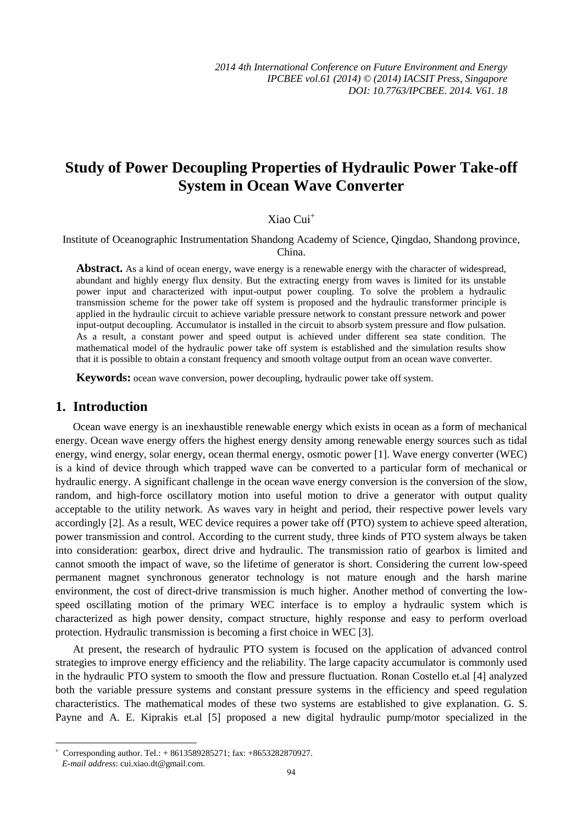# **Study of Power Decoupling Properties of Hydraulic Power Take-off System in Ocean Wave Converter**

# Xiao Cui

Institute of Oceanographic Instrumentation Shandong Academy of Science, Qingdao, Shandong province, China.

**Abstract.** As a kind of ocean energy, wave energy is a renewable energy with the character of widespread, abundant and highly energy flux density. But the extracting energy from waves is limited for its unstable power input and characterized with input-output power coupling. To solve the problem a hydraulic transmission scheme for the power take off system is proposed and the hydraulic transformer principle is applied in the hydraulic circuit to achieve variable pressure network to constant pressure network and power input-output decoupling. Accumulator is installed in the circuit to absorb system pressure and flow pulsation. As a result, a constant power and speed output is achieved under different sea state condition. The mathematical model of the hydraulic power take off system is established and the simulation results show that it is possible to obtain a constant frequency and smooth voltage output from an ocean wave converter.

**Keywords:** ocean wave conversion, power decoupling, hydraulic power take off system.

## **1. Introduction**

Ocean wave energy is an inexhaustible renewable energy which exists in ocean as a form of mechanical energy. Ocean wave energy offers the highest energy density among renewable energy sources such as tidal energy, wind energy, solar energy, ocean thermal energy, osmotic power [1]. Wave energy converter (WEC) is a kind of device through which trapped wave can be converted to a particular form of mechanical or hydraulic energy. A significant challenge in the ocean wave energy conversion is the conversion of the slow, random, and high-force oscillatory motion into useful motion to drive a generator with output quality acceptable to the utility network. As waves vary in height and period, their respective power levels vary accordingly [2]. As a result, WEC device requires a power take off (PTO) system to achieve speed alteration, power transmission and control. According to the current study, three kinds of PTO system always be taken into consideration: gearbox, direct drive and hydraulic. The transmission ratio of gearbox is limited and cannot smooth the impact of wave, so the lifetime of generator is short. Considering the current low-speed permanent magnet synchronous generator technology is not mature enough and the harsh marine environment, the cost of direct-drive transmission is much higher. Another method of converting the lowspeed oscillating motion of the primary WEC interface is to employ a hydraulic system which is characterized as high power density, compact structure, highly response and easy to perform overload protection. Hydraulic transmission is becoming a first choice in WEC [3].

At present, the research of hydraulic PTO system is focused on the application of advanced control strategies to improve energy efficiency and the reliability. The large capacity accumulator is commonly used in the hydraulic PTO system to smooth the flow and pressure fluctuation. Ronan Costello et.al [4] analyzed both the variable pressure systems and constant pressure systems in the efficiency and speed regulation characteristics. The mathematical modes of these two systems are established to give explanation. G. S. Payne and A. E. Kiprakis et.al [5] proposed a new digital hydraulic pump/motor specialized in the

1

 $\overline{+}$ Corresponding author. Tel.: + 8613589285271; fax: +8653282870927.

*E-mail address*: cui.xiao.dt@gmail.com.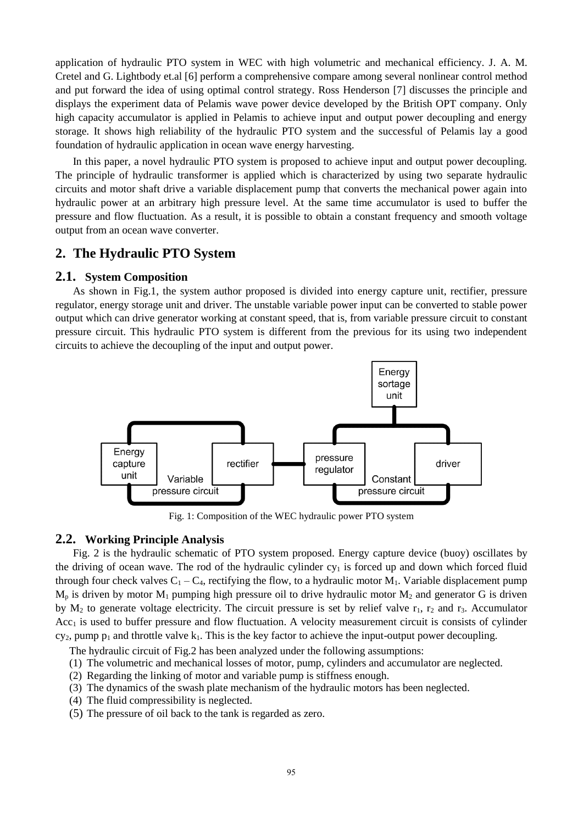application of hydraulic PTO system in WEC with high volumetric and mechanical efficiency. J. A. M. Cretel and G. Lightbody et.al [6] perform a comprehensive compare among several nonlinear control method and put forward the idea of using optimal control strategy. Ross Henderson [7] discusses the principle and displays the experiment data of Pelamis wave power device developed by the British OPT company. Only high capacity accumulator is applied in Pelamis to achieve input and output power decoupling and energy storage. It shows high reliability of the hydraulic PTO system and the successful of Pelamis lay a good foundation of hydraulic application in ocean wave energy harvesting.

In this paper, a novel hydraulic PTO system is proposed to achieve input and output power decoupling. The principle of hydraulic transformer is applied which is characterized by using two separate hydraulic circuits and motor shaft drive a variable displacement pump that converts the mechanical power again into hydraulic power at an arbitrary high pressure level. At the same time accumulator is used to buffer the pressure and flow fluctuation. As a result, it is possible to obtain a constant frequency and smooth voltage output from an ocean wave converter.

# **2. The Hydraulic PTO System**

#### **2.1. System Composition**

As shown in Fig.1, the system author proposed is divided into energy capture unit, rectifier, pressure regulator, energy storage unit and driver. The unstable variable power input can be converted to stable power output which can drive generator working at constant speed, that is, from variable pressure circuit to constant pressure circuit. This hydraulic PTO system is different from the previous for its using two independent circuits to achieve the decoupling of the input and output power.



Fig. 1: Composition of the WEC hydraulic power PTO system

#### **2.2. Working Principle Analysis**

Fig. 2 is the hydraulic schematic of PTO system proposed. Energy capture device (buoy) oscillates by the driving of ocean wave. The rod of the hydraulic cylinder  $cy<sub>1</sub>$  is forced up and down which forced fluid through four check valves  $C_1 - C_4$ , rectifying the flow, to a hydraulic motor  $M_1$ . Variable displacement pump  $M_p$  is driven by motor  $M_1$  pumping high pressure oil to drive hydraulic motor  $M_2$  and generator G is driven by  $M_2$  to generate voltage electricity. The circuit pressure is set by relief valve  $r_1$ ,  $r_2$  and  $r_3$ . Accumulator  $Acc<sub>1</sub>$  is used to buffer pressure and flow fluctuation. A velocity measurement circuit is consists of cylinder cy<sub>2</sub>, pump  $p_1$  and throttle valve  $k_1$ . This is the key factor to achieve the input-output power decoupling.

The hydraulic circuit of Fig.2 has been analyzed under the following assumptions:

- (1) The volumetric and mechanical losses of motor, pump, cylinders and accumulator are neglected.
- (2) Regarding the linking of motor and variable pump is stiffness enough.
- (3) The dynamics of the swash plate mechanism of the hydraulic motors has been neglected.
- (4) The fluid compressibility is neglected.
- (5) The pressure of oil back to the tank is regarded as zero.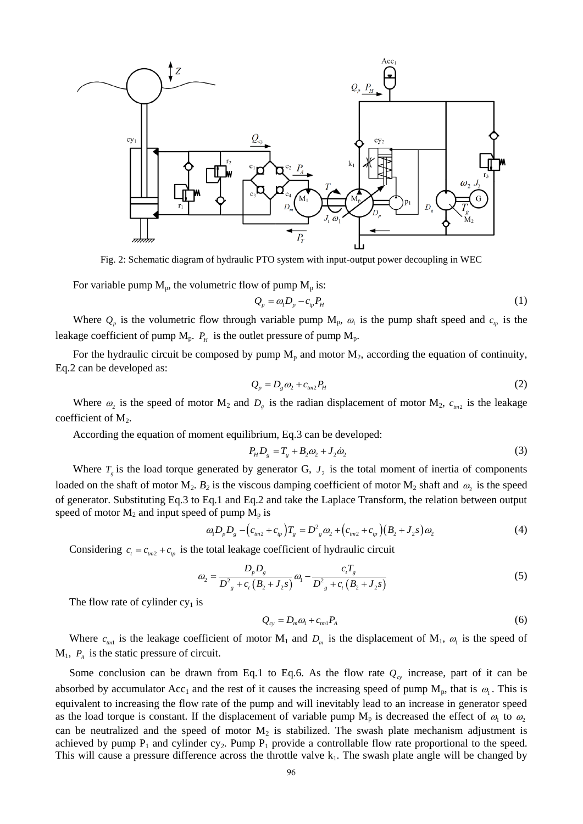

Fig. 2: Schematic diagram of hydraulic PTO system with input-output power decoupling in WEC

For variable pump  $M_p$ , the volumetric flow of pump  $M_p$  is:

$$
Q_p = \omega_1 D_p - c_p P_H \tag{1}
$$

Where  $Q_p$  is the volumetric flow through variable pump  $M_p$ ,  $\omega_1$  is the pump shaft speed and  $c_p$  is the leakage coefficient of pump  $M_p$ .  $P_H$  is the outlet pressure of pump  $M_p$ .

For the hydraulic circuit be composed by pump  $M_p$  and motor  $M_2$ , according the equation of continuity, Eq.2 can be developed as:

$$
Q_p = D_g \omega_2 + c_{m2} P_H \tag{2}
$$

Where  $\omega_2$  is the speed of motor  $M_2$  and  $D_g$  is the radian displacement of motor  $M_2$ ,  $c_{mn2}$  is the leakage coefficient of  $M_2$ .

According the equation of moment equilibrium, Eq.3 can be developed:

$$
P_H D_g = T_g + B_2 \omega_2 + J_2 \dot{\omega}_2 \tag{3}
$$

Where  $T_{g}$  is the load torque generated by generator G,  $J_2$  is the total moment of inertia of components loaded on the shaft of motor  $M_2$ .  $B_2$  is the viscous damping coefficient of motor  $M_2$  shaft and  $\omega_2$  is the speed of generator. Substituting Eq.3 to Eq.1 and Eq.2 and take the Laplace Transform, the relation between output speed of motor  $M_2$  and input speed of pump  $M_p$  is

of pump 
$$
\overline{M}_p
$$
 is  
\n
$$
\omega_1 D_p D_g - (c_{m2} + c_{tp}) T_g = D^2_g \omega_2 + (c_{m2} + c_{tp}) (B_2 + J_2 s) \omega_2
$$
\n(4)

Considering  $c_t = c_{tm2} + c_p$  is the total leakage coefficient of hydraulic circuit  $D_p D_g$   $c_t T_g$ 

$$
\omega_2 = \frac{D_p D_g}{D_g^2 + c_t (B_2 + J_2 s)} \omega_1 - \frac{c_t T_g}{D_g^2 + c_t (B_2 + J_2 s)}
$$
(5)

The flow rate of cylinder  $cy<sub>1</sub>$  is

$$
Q_{cy} = D_m \omega_1 + c_{m1} P_A \tag{6}
$$

Where  $c_{m1}$  is the leakage coefficient of motor  $M_1$  and  $D_m$  is the displacement of  $M_1$ ,  $\omega_1$  is the speed of  $M_1$ ,  $P_A$  is the static pressure of circuit.

Some conclusion can be drawn from Eq.1 to Eq.6. As the flow rate  $Q_{c}$  increase, part of it can be absorbed by accumulator Acc<sub>1</sub> and the rest of it causes the increasing speed of pump  $M_p$ , that is  $\omega_1$ . This is equivalent to increasing the flow rate of the pump and will inevitably lead to an increase in generator speed as the load torque is constant. If the displacement of variable pump  $M_p$  is decreased the effect of  $\omega_1$  to  $\omega_2$ can be neutralized and the speed of motor  $M_2$  is stabilized. The swash plate mechanism adjustment is achieved by pump  $P_1$  and cylinder cy<sub>2</sub>. Pump  $P_1$  provide a controllable flow rate proportional to the speed. This will cause a pressure difference across the throttle valve  $k_1$ . The swash plate angle will be changed by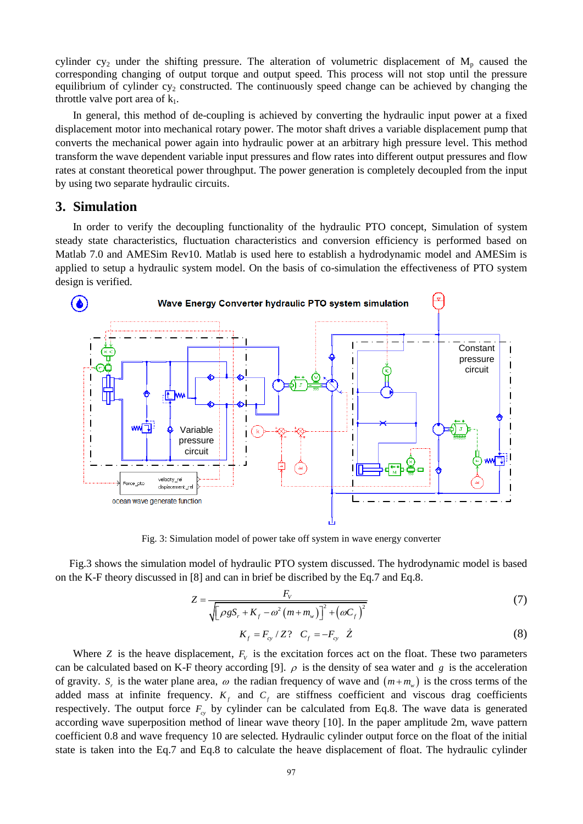cylinder cy<sub>2</sub> under the shifting pressure. The alteration of volumetric displacement of  $M_p$  caused the corresponding changing of output torque and output speed. This process will not stop until the pressure equilibrium of cylinder  $cy_2$  constructed. The continuously speed change can be achieved by changing the throttle valve port area of  $k_1$ .

In general, this method of de-coupling is achieved by converting the hydraulic input power at a fixed displacement motor into mechanical rotary power. The motor shaft drives a variable displacement pump that converts the mechanical power again into hydraulic power at an arbitrary high pressure level. This method transform the wave dependent variable input pressures and flow rates into different output pressures and flow rates at constant theoretical power throughput. The power generation is completely decoupled from the input by using two separate hydraulic circuits.

### **3. Simulation**

In order to verify the decoupling functionality of the hydraulic PTO concept, Simulation of system steady state characteristics, fluctuation characteristics and conversion efficiency is performed based on Matlab 7.0 and AMESim Rev10. Matlab is used here to establish a hydrodynamic model and AMESim is applied to setup a hydraulic system model. On the basis of co-simulation the effectiveness of PTO system design is verified.



Fig. 3: Simulation model of power take off system in wave energy converter

Fig.3 shows the simulation model of hydraulic PTO system discussed. The hydrodynamic model is based on the K-F theory discussed in [8] and can in brief be discribed by the Eq.7 and Eq.8.

$$
Z = \frac{F_v}{\sqrt{\left[\rho g S_r + K_f - \omega^2 \left(m + m_w\right)\right]^2 + \left(\omega C_f\right)^2}}
$$
(7)

$$
K_f = F_{cy}/Z? \quad C_f = -F_{cy} \quad \dot{Z} \tag{8}
$$

Where  $Z$  is the heave displacement,  $F_V$  is the excitation forces act on the float. These two parameters can be calculated based on K-F theory according [9].  $\rho$  is the density of sea water and  $g$  is the acceleration of gravity.  $S_r$  is the water plane area,  $\omega$  the radian frequency of wave and  $(m+m_w)$  is the cross terms of the added mass at infinite frequency.  $K_f$  and  $C_f$  are stiffness coefficient and viscous drag coefficients respectively. The output force  $F_{cy}$  by cylinder can be calculated from Eq.8. The wave data is generated according wave superposition method of linear wave theory [10]. In the paper amplitude 2m, wave pattern coefficient 0.8 and wave frequency 10 are selected. Hydraulic cylinder output force on the float of the initial state is taken into the Eq.7 and Eq.8 to calculate the heave displacement of float. The hydraulic cylinder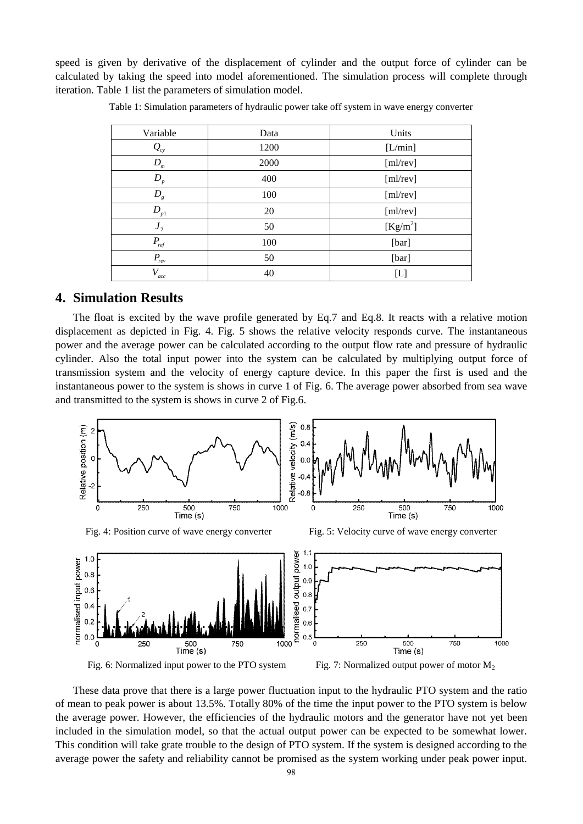speed is given by derivative of the displacement of cylinder and the output force of cylinder can be calculated by taking the speed into model aforementioned. The simulation process will complete through iteration. Table 1 list the parameters of simulation model.

| Variable                             | Data | Units                      |
|--------------------------------------|------|----------------------------|
| $\varrho_{\rm\scriptscriptstyle cy}$ | 1200 | [L/min]                    |
| $D_m$                                | 2000 | [m]/rev]                   |
| $D_p$                                | 400  | [m]/rev]                   |
| $D_{g}$                              | 100  | [m]/rev]                   |
| $D_{_{p1}}$                          | 20   | [m]/rev]                   |
| J <sub>2</sub>                       | 50   | $[Kg/m^2]$                 |
| $P_{\rm ref}$                        | 100  | [bar]                      |
| $P_{\scriptscriptstyle rev}$         | 50   | [bar]                      |
| acc                                  | 40   | $\left[ \mathrm{L}\right]$ |

Table 1: Simulation parameters of hydraulic power take off system in wave energy converter

### **4. Simulation Results**

The float is excited by the wave profile generated by Eq.7 and Eq.8. It reacts with a relative motion displacement as depicted in Fig. 4. Fig. 5 shows the relative velocity responds curve. The instantaneous power and the average power can be calculated according to the output flow rate and pressure of hydraulic cylinder. Also the total input power into the system can be calculated by multiplying output force of transmission system and the velocity of energy capture device. In this paper the first is used and the instantaneous power to the system is shows in curve 1 of Fig. 6. The average power absorbed from sea wave and transmitted to the system is shows in curve 2 of Fig.6.



These data prove that there is a large power fluctuation input to the hydraulic PTO system and the ratio of mean to peak power is about 13.5%. Totally 80% of the time the input power to the PTO system is below the average power. However, the efficiencies of the hydraulic motors and the generator have not yet been included in the simulation model, so that the actual output power can be expected to be somewhat lower. This condition will take grate trouble to the design of PTO system. If the system is designed according to the average power the safety and reliability cannot be promised as the system working under peak power input.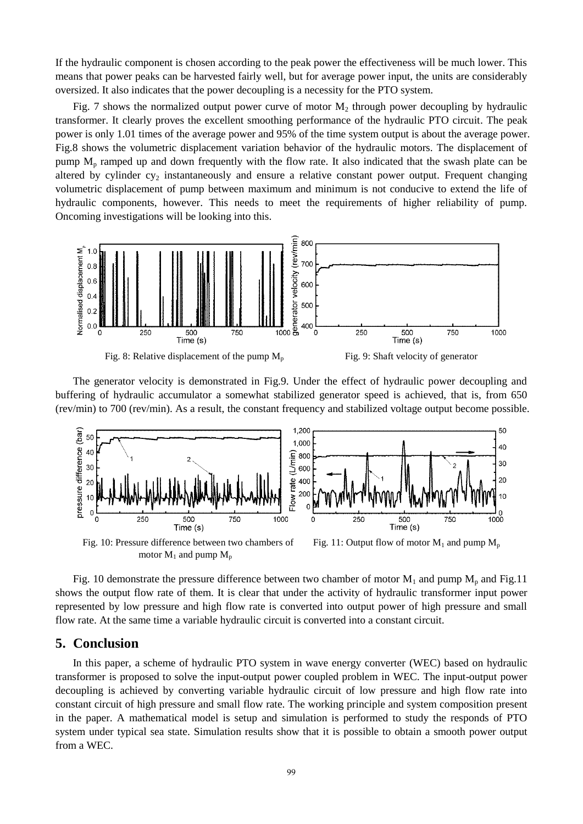If the hydraulic component is chosen according to the peak power the effectiveness will be much lower. This means that power peaks can be harvested fairly well, but for average power input, the units are considerably oversized. It also indicates that the power decoupling is a necessity for the PTO system.

Fig. 7 shows the normalized output power curve of motor  $M_2$  through power decoupling by hydraulic transformer. It clearly proves the excellent smoothing performance of the hydraulic PTO circuit. The peak power is only 1.01 times of the average power and 95% of the time system output is about the average power. Fig.8 shows the volumetric displacement variation behavior of the hydraulic motors. The displacement of pump  $M_p$  ramped up and down frequently with the flow rate. It also indicated that the swash plate can be altered by cylinder  $cy_2$  instantaneously and ensure a relative constant power output. Frequent changing volumetric displacement of pump between maximum and minimum is not conducive to extend the life of hydraulic components, however. This needs to meet the requirements of higher reliability of pump. Oncoming investigations will be looking into this.



The generator velocity is demonstrated in Fig.9. Under the effect of hydraulic power decoupling and buffering of hydraulic accumulator a somewhat stabilized generator speed is achieved, that is, from 650 (rev/min) to 700 (rev/min). As a result, the constant frequency and stabilized voltage output become possible.



Fig. 10: Pressure difference between two chambers of Fig. 11: Output flow of motor  $M_1$  and pump  $M_p$ motor  $M_1$  and pump  $M_p$ 

Fig. 10 demonstrate the pressure difference between two chamber of motor  $M_1$  and pump  $M_p$  and Fig.11 shows the output flow rate of them. It is clear that under the activity of hydraulic transformer input power represented by low pressure and high flow rate is converted into output power of high pressure and small flow rate. At the same time a variable hydraulic circuit is converted into a constant circuit.

#### **5. Conclusion**

In this paper, a scheme of hydraulic PTO system in wave energy converter (WEC) based on hydraulic transformer is proposed to solve the input-output power coupled problem in WEC. The input-output power decoupling is achieved by converting variable hydraulic circuit of low pressure and high flow rate into constant circuit of high pressure and small flow rate. The working principle and system composition present in the paper. A mathematical model is setup and simulation is performed to study the responds of PTO system under typical sea state. Simulation results show that it is possible to obtain a smooth power output from a WEC.